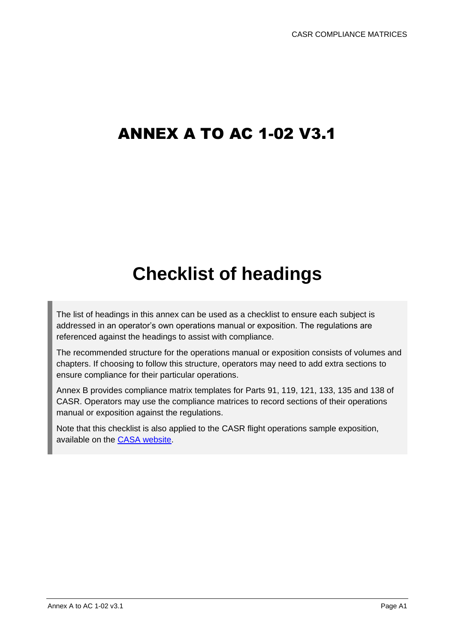## ANNEX A TO AC 1-02 V3.1

# **Checklist of headings**

The list of headings in this annex can be used as a checklist to ensure each subject is addressed in an operator's own operations manual or exposition. The regulations are referenced against the headings to assist with compliance.

The recommended structure for the operations manual or exposition consists of volumes and chapters. If choosing to follow this structure, operators may need to add extra sections to ensure compliance for their particular operations.

Annex B provides compliance matrix templates for Parts 91, 119, 121, 133, 135 and 138 of CASR. Operators may use the compliance matrices to record sections of their operations manual or exposition against the regulations.

Note that this checklist is also applied to the CASR flight operations sample exposition, available on the [CASA website.](https://www.casa.gov.au/sample-operations-manual-templates-flight-operators?msclkid=f1cd4326d0e511ecbd5d55dacc5668ae)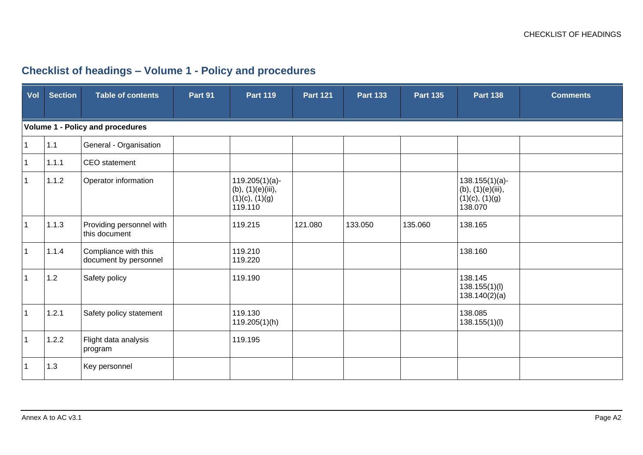## **Checklist of headings – Volume 1 - Policy and procedures**

| Vol            | <b>Section</b> | Table of contents                             | Part 91 | <b>Part 119</b>                                                          | <b>Part 121</b> | <b>Part 133</b> | <b>Part 135</b> | <b>Part 138</b>                                                          | <b>Comments</b> |
|----------------|----------------|-----------------------------------------------|---------|--------------------------------------------------------------------------|-----------------|-----------------|-----------------|--------------------------------------------------------------------------|-----------------|
|                |                | <b>Volume 1 - Policy and procedures</b>       |         |                                                                          |                 |                 |                 |                                                                          |                 |
| $\mathbf{1}$   | 1.1            | General - Organisation                        |         |                                                                          |                 |                 |                 |                                                                          |                 |
| $\overline{1}$ | 1.1.1          | CEO statement                                 |         |                                                                          |                 |                 |                 |                                                                          |                 |
| $\mathbf{1}$   | 1.1.2          | Operator information                          |         | $119.205(1)(a)$ -<br>(b), (1)(e)(iii),<br>$(1)(c)$ , $(1)(g)$<br>119.110 |                 |                 |                 | $138.155(1)(a)$ -<br>(b), (1)(e)(iii),<br>$(1)(c)$ , $(1)(g)$<br>138.070 |                 |
| $\overline{1}$ | 1.1.3          | Providing personnel with<br>this document     |         | 119.215                                                                  | 121.080         | 133.050         | 135.060         | 138.165                                                                  |                 |
| $\overline{1}$ | 1.1.4          | Compliance with this<br>document by personnel |         | 119.210<br>119.220                                                       |                 |                 |                 | 138.160                                                                  |                 |
| $\overline{1}$ | 1.2            | Safety policy                                 |         | 119.190                                                                  |                 |                 |                 | 138.145<br>138.155(1)(I)<br>138.140(2)(a)                                |                 |
| $\overline{1}$ | 1.2.1          | Safety policy statement                       |         | 119.130<br>119.205(1)(h)                                                 |                 |                 |                 | 138.085<br>138.155(1)(I)                                                 |                 |
| $\overline{1}$ | 1.2.2          | Flight data analysis<br>program               |         | 119.195                                                                  |                 |                 |                 |                                                                          |                 |
| $\overline{1}$ | 1.3            | Key personnel                                 |         |                                                                          |                 |                 |                 |                                                                          |                 |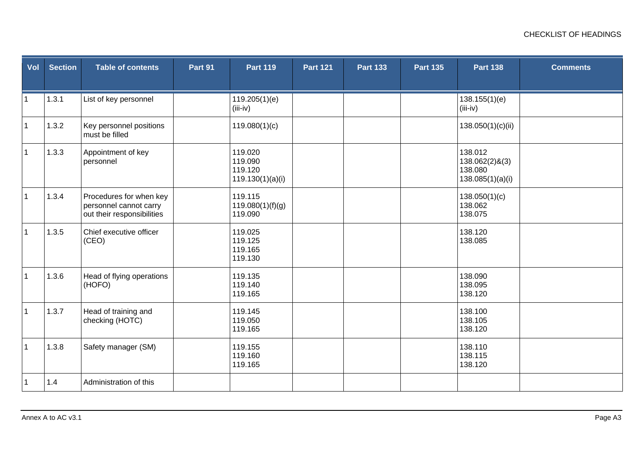| Vol          | <b>Section</b> | <b>Table of contents</b>                                                        | Part 91 | <b>Part 119</b>                                   | <b>Part 121</b> | <b>Part 133</b> | <b>Part 135</b> | <b>Part 138</b>                                          | <b>Comments</b> |
|--------------|----------------|---------------------------------------------------------------------------------|---------|---------------------------------------------------|-----------------|-----------------|-----------------|----------------------------------------------------------|-----------------|
| $\mathbf{1}$ | 1.3.1          | List of key personnel                                                           |         | 119.205(1)(e)<br>$(iii-iv)$                       |                 |                 |                 | 138.155(1)(e)<br>$(iii-iv)$                              |                 |
| $\mathbf{1}$ | 1.3.2          | Key personnel positions<br>must be filled                                       |         | 119.080(1)(c)                                     |                 |                 |                 | 138.050(1)(c)(ii)                                        |                 |
| $\mathbf 1$  | 1.3.3          | Appointment of key<br>personnel                                                 |         | 119.020<br>119.090<br>119.120<br>119.130(1)(a)(i) |                 |                 |                 | 138.012<br>138.062(2)&(3)<br>138.080<br>138.085(1)(a)(i) |                 |
| $\mathbf 1$  | 1.3.4          | Procedures for when key<br>personnel cannot carry<br>out their responsibilities |         | 119.115<br>119.080(1)(f)(g)<br>119.090            |                 |                 |                 | 138.050(1)(c)<br>138.062<br>138.075                      |                 |
| $\mathbf{1}$ | 1.3.5          | Chief executive officer<br>(CEO)                                                |         | 119.025<br>119.125<br>119.165<br>119.130          |                 |                 |                 | 138.120<br>138.085                                       |                 |
| $\mathbf{1}$ | 1.3.6          | Head of flying operations<br>(HOFO)                                             |         | 119.135<br>119.140<br>119.165                     |                 |                 |                 | 138.090<br>138.095<br>138.120                            |                 |
| $\mathbf{1}$ | 1.3.7          | Head of training and<br>checking (HOTC)                                         |         | 119.145<br>119.050<br>119.165                     |                 |                 |                 | 138.100<br>138.105<br>138.120                            |                 |
| $\mathbf{1}$ | 1.3.8          | Safety manager (SM)                                                             |         | 119.155<br>119.160<br>119.165                     |                 |                 |                 | 138.110<br>138.115<br>138.120                            |                 |
| $\mathbf{1}$ | 1.4            | Administration of this                                                          |         |                                                   |                 |                 |                 |                                                          |                 |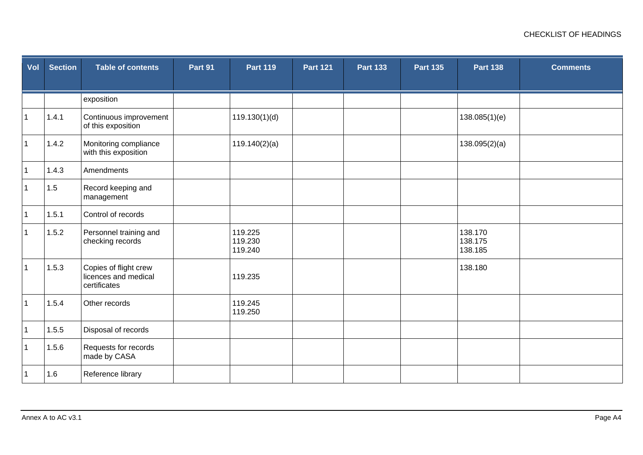| Vol          | <b>Section</b> | <b>Table of contents</b>                                      | Part 91 | <b>Part 119</b>               | <b>Part 121</b> | <b>Part 133</b> | <b>Part 135</b> | <b>Part 138</b>               | <b>Comments</b> |
|--------------|----------------|---------------------------------------------------------------|---------|-------------------------------|-----------------|-----------------|-----------------|-------------------------------|-----------------|
|              |                |                                                               |         |                               |                 |                 |                 |                               |                 |
|              |                | exposition                                                    |         |                               |                 |                 |                 |                               |                 |
| $\mathbf{1}$ | 1.4.1          | Continuous improvement<br>of this exposition                  |         | 119.130(1)(d)                 |                 |                 |                 | 138.085(1)(e)                 |                 |
| $\mathbf 1$  | 1.4.2          | Monitoring compliance<br>with this exposition                 |         | 119.140(2)(a)                 |                 |                 |                 | 138.095(2)(a)                 |                 |
| $\mathbf 1$  | 1.4.3          | Amendments                                                    |         |                               |                 |                 |                 |                               |                 |
| $\mathbf{1}$ | 1.5            | Record keeping and<br>management                              |         |                               |                 |                 |                 |                               |                 |
| $\mathbf 1$  | 1.5.1          | Control of records                                            |         |                               |                 |                 |                 |                               |                 |
| $\mathbf{1}$ | 1.5.2          | Personnel training and<br>checking records                    |         | 119.225<br>119.230<br>119.240 |                 |                 |                 | 138.170<br>138.175<br>138.185 |                 |
| $\mathbf{1}$ | 1.5.3          | Copies of flight crew<br>licences and medical<br>certificates |         | 119.235                       |                 |                 |                 | 138.180                       |                 |
| $\mathbf{1}$ | 1.5.4          | Other records                                                 |         | 119.245<br>119.250            |                 |                 |                 |                               |                 |
| $\mathbf{1}$ | 1.5.5          | Disposal of records                                           |         |                               |                 |                 |                 |                               |                 |
| $\mathbf{1}$ | 1.5.6          | Requests for records<br>made by CASA                          |         |                               |                 |                 |                 |                               |                 |
| $\mathbf 1$  | 1.6            | Reference library                                             |         |                               |                 |                 |                 |                               |                 |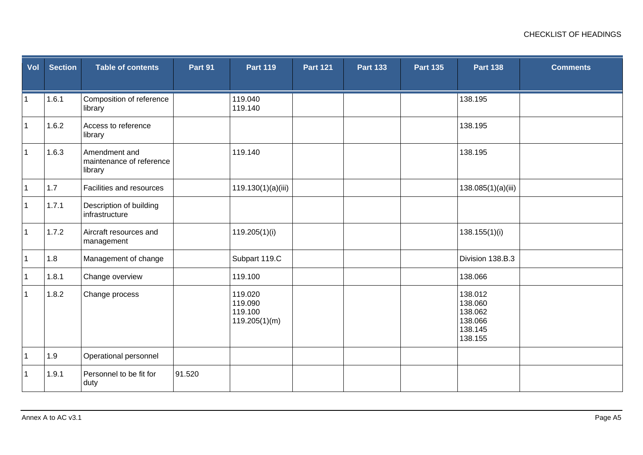| Vol          | <b>Section</b> | <b>Table of contents</b>                             | Part 91 | <b>Part 119</b>                                | <b>Part 121</b> | <b>Part 133</b> | <b>Part 135</b> | <b>Part 138</b>                                                | <b>Comments</b> |
|--------------|----------------|------------------------------------------------------|---------|------------------------------------------------|-----------------|-----------------|-----------------|----------------------------------------------------------------|-----------------|
| $\mathbf{1}$ | 1.6.1          | Composition of reference<br>library                  |         | 119.040<br>119.140                             |                 |                 |                 | 138.195                                                        |                 |
| $\mathbf{1}$ | 1.6.2          | Access to reference<br>library                       |         |                                                |                 |                 |                 | 138.195                                                        |                 |
| $\mathbf{1}$ | 1.6.3          | Amendment and<br>maintenance of reference<br>library |         | 119.140                                        |                 |                 |                 | 138.195                                                        |                 |
| $\mathbf{1}$ | 1.7            | Facilities and resources                             |         | 119.130(1)(a)(iii)                             |                 |                 |                 | 138.085(1)(a)(iii)                                             |                 |
| $\mathbf{1}$ | 1.7.1          | Description of building<br>infrastructure            |         |                                                |                 |                 |                 |                                                                |                 |
| $\mathbf{1}$ | 1.7.2          | Aircraft resources and<br>management                 |         | 119.205(1)(i)                                  |                 |                 |                 | 138.155(1)(i)                                                  |                 |
| $\mathbf{1}$ | 1.8            | Management of change                                 |         | Subpart 119.C                                  |                 |                 |                 | Division 138.B.3                                               |                 |
| $\mathbf{1}$ | 1.8.1          | Change overview                                      |         | 119.100                                        |                 |                 |                 | 138.066                                                        |                 |
| $\mathbf{1}$ | 1.8.2          | Change process                                       |         | 119.020<br>119.090<br>119.100<br>119.205(1)(m) |                 |                 |                 | 138.012<br>138.060<br>138.062<br>138.066<br>138.145<br>138.155 |                 |
| $\mathbf{1}$ | 1.9            | Operational personnel                                |         |                                                |                 |                 |                 |                                                                |                 |
| $\mathbf 1$  | 1.9.1          | Personnel to be fit for<br>duty                      | 91.520  |                                                |                 |                 |                 |                                                                |                 |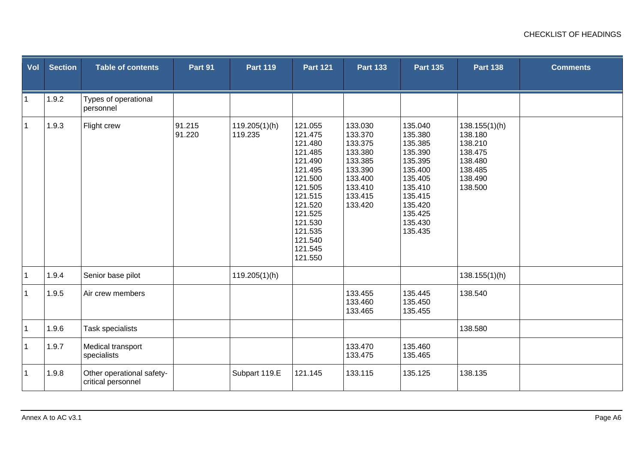| Vol          | <b>Section</b> | <b>Table of contents</b>                        | Part 91          | <b>Part 119</b>          | <b>Part 121</b>                                                                                                                                                              | <b>Part 133</b>                                                                                            | <b>Part 135</b>                                                                                                                             | <b>Part 138</b>                                                                            | <b>Comments</b> |
|--------------|----------------|-------------------------------------------------|------------------|--------------------------|------------------------------------------------------------------------------------------------------------------------------------------------------------------------------|------------------------------------------------------------------------------------------------------------|---------------------------------------------------------------------------------------------------------------------------------------------|--------------------------------------------------------------------------------------------|-----------------|
| $\mathbf{1}$ | 1.9.2          | Types of operational<br>personnel               |                  |                          |                                                                                                                                                                              |                                                                                                            |                                                                                                                                             |                                                                                            |                 |
| $\mathbf{1}$ | 1.9.3          | Flight crew                                     | 91.215<br>91.220 | 119.205(1)(h)<br>119.235 | 121.055<br>121.475<br>121.480<br>121.485<br>121.490<br>121.495<br>121.500<br>121.505<br>121.515<br>121.520<br>121.525<br>121.530<br>121.535<br>121.540<br>121.545<br>121.550 | 133.030<br>133.370<br>133.375<br>133.380<br>133.385<br>133.390<br>133.400<br>133.410<br>133.415<br>133.420 | 135.040<br>135.380<br>135.385<br>135.390<br>135.395<br>135.400<br>135.405<br>135.410<br>135.415<br>135.420<br>135.425<br>135.430<br>135.435 | 138.155(1)(h)<br>138.180<br>138.210<br>138.475<br>138.480<br>138.485<br>138.490<br>138.500 |                 |
| $\mathbf{1}$ | 1.9.4          | Senior base pilot                               |                  | 119.205(1)(h)            |                                                                                                                                                                              |                                                                                                            |                                                                                                                                             | 138.155(1)(h)                                                                              |                 |
| $\mathbf{1}$ | 1.9.5          | Air crew members                                |                  |                          |                                                                                                                                                                              | 133.455<br>133.460<br>133.465                                                                              | 135.445<br>135.450<br>135.455                                                                                                               | 138.540                                                                                    |                 |
| $\mathbf 1$  | 1.9.6          | <b>Task specialists</b>                         |                  |                          |                                                                                                                                                                              |                                                                                                            |                                                                                                                                             | 138.580                                                                                    |                 |
| $\mathbf{1}$ | 1.9.7          | Medical transport<br>specialists                |                  |                          |                                                                                                                                                                              | 133.470<br>133.475                                                                                         | 135.460<br>135.465                                                                                                                          |                                                                                            |                 |
| $\mathbf{1}$ | 1.9.8          | Other operational safety-<br>critical personnel |                  | Subpart 119.E            | 121.145                                                                                                                                                                      | 133.115                                                                                                    | 135.125                                                                                                                                     | 138.135                                                                                    |                 |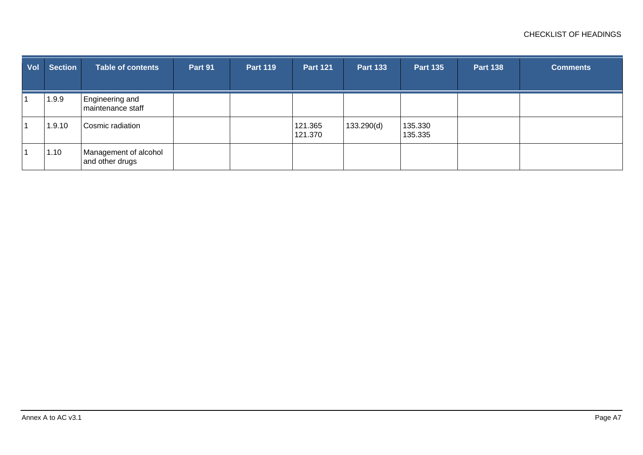| Vol | <b>Section</b> | <b>Table of contents</b>                 | Part 91 | <b>Part 119</b> | <b>Part 121</b>    | <b>Part 133</b> | <b>Part 135</b>    | <b>Part 138</b> | <b>Comments</b> |
|-----|----------------|------------------------------------------|---------|-----------------|--------------------|-----------------|--------------------|-----------------|-----------------|
|     | 1.9.9          | Engineering and<br>maintenance staff     |         |                 |                    |                 |                    |                 |                 |
|     | 1.9.10         | Cosmic radiation                         |         |                 | 121.365<br>121.370 | 133.290(d)      | 135.330<br>135.335 |                 |                 |
|     | 1.10           | Management of alcohol<br>and other drugs |         |                 |                    |                 |                    |                 |                 |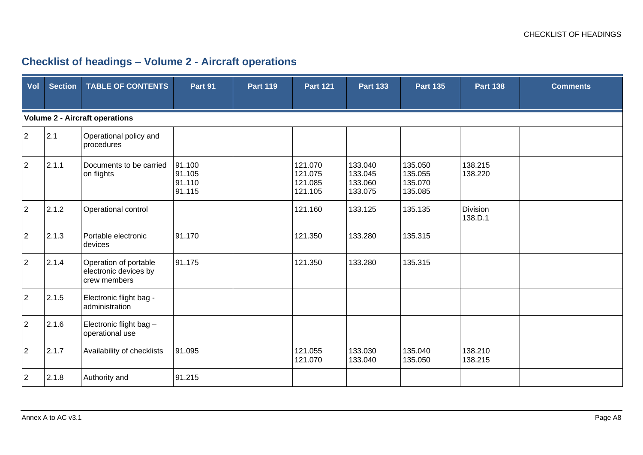## **Checklist of headings – Volume 2 - Aircraft operations**

| Vol            | <b>Section</b> | <b>TABLE OF CONTENTS</b>                                       | Part 91                              | <b>Part 119</b> | <b>Part 121</b>                          | <b>Part 133</b>                          | <b>Part 135</b>                          | <b>Part 138</b>     | <b>Comments</b> |
|----------------|----------------|----------------------------------------------------------------|--------------------------------------|-----------------|------------------------------------------|------------------------------------------|------------------------------------------|---------------------|-----------------|
|                |                |                                                                |                                      |                 |                                          |                                          |                                          |                     |                 |
|                |                | <b>Volume 2 - Aircraft operations</b>                          |                                      |                 |                                          |                                          |                                          |                     |                 |
| $\overline{2}$ | 2.1            | Operational policy and<br>procedures                           |                                      |                 |                                          |                                          |                                          |                     |                 |
| $\overline{2}$ | 2.1.1          | Documents to be carried<br>on flights                          | 91.100<br>91.105<br>91.110<br>91.115 |                 | 121.070<br>121.075<br>121.085<br>121.105 | 133.040<br>133.045<br>133.060<br>133.075 | 135.050<br>135.055<br>135.070<br>135.085 | 138.215<br>138.220  |                 |
| $\overline{2}$ | 2.1.2          | Operational control                                            |                                      |                 | 121.160                                  | 133.125                                  | 135.135                                  | Division<br>138.D.1 |                 |
| $\overline{2}$ | 2.1.3          | Portable electronic<br>devices                                 | 91.170                               |                 | 121.350                                  | 133.280                                  | 135.315                                  |                     |                 |
| $\overline{2}$ | 2.1.4          | Operation of portable<br>electronic devices by<br>crew members | 91.175                               |                 | 121.350                                  | 133.280                                  | 135.315                                  |                     |                 |
| $\overline{2}$ | 2.1.5          | Electronic flight bag -<br>administration                      |                                      |                 |                                          |                                          |                                          |                     |                 |
| $\overline{2}$ | 2.1.6          | Electronic flight bag -<br>operational use                     |                                      |                 |                                          |                                          |                                          |                     |                 |
| $\overline{2}$ | 2.1.7          | Availability of checklists                                     | 91.095                               |                 | 121.055<br>121.070                       | 133.030<br>133.040                       | 135.040<br>135.050                       | 138.210<br>138.215  |                 |
| $\overline{2}$ | 2.1.8          | Authority and                                                  | 91.215                               |                 |                                          |                                          |                                          |                     |                 |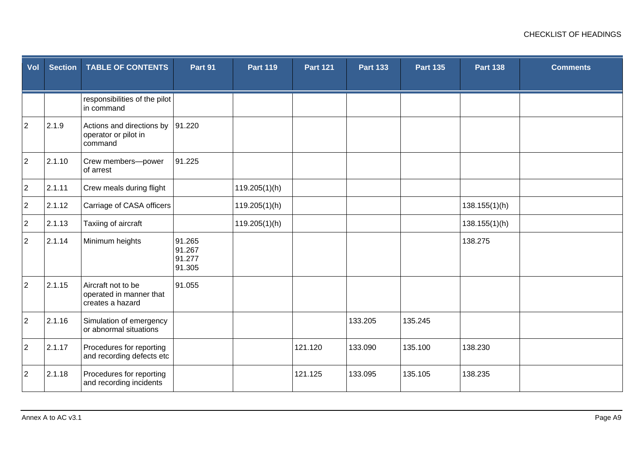| Vol            | <b>Section</b> | <b>TABLE OF CONTENTS</b>                                          | Part 91                              | <b>Part 119</b> | <b>Part 121</b> | <b>Part 133</b> | <b>Part 135</b> | <b>Part 138</b> | <b>Comments</b> |
|----------------|----------------|-------------------------------------------------------------------|--------------------------------------|-----------------|-----------------|-----------------|-----------------|-----------------|-----------------|
|                |                | responsibilities of the pilot<br>in command                       |                                      |                 |                 |                 |                 |                 |                 |
| $\overline{2}$ | 2.1.9          | Actions and directions by<br>operator or pilot in<br>command      | 91.220                               |                 |                 |                 |                 |                 |                 |
| $\overline{2}$ | 2.1.10         | Crew members-power<br>of arrest                                   | 91.225                               |                 |                 |                 |                 |                 |                 |
| $\overline{2}$ | 2.1.11         | Crew meals during flight                                          |                                      | 119.205(1)(h)   |                 |                 |                 |                 |                 |
| $\overline{2}$ | 2.1.12         | Carriage of CASA officers                                         |                                      | 119.205(1)(h)   |                 |                 |                 | 138.155(1)(h)   |                 |
| $\overline{2}$ | 2.1.13         | Taxiing of aircraft                                               |                                      | 119.205(1)(h)   |                 |                 |                 | 138.155(1)(h)   |                 |
| $\overline{2}$ | 2.1.14         | Minimum heights                                                   | 91.265<br>91.267<br>91.277<br>91.305 |                 |                 |                 |                 | 138.275         |                 |
| $\overline{2}$ | 2.1.15         | Aircraft not to be<br>operated in manner that<br>creates a hazard | 91.055                               |                 |                 |                 |                 |                 |                 |
| $\overline{2}$ | 2.1.16         | Simulation of emergency<br>or abnormal situations                 |                                      |                 |                 | 133.205         | 135.245         |                 |                 |
| $\overline{2}$ | 2.1.17         | Procedures for reporting<br>and recording defects etc             |                                      |                 | 121.120         | 133.090         | 135.100         | 138.230         |                 |
| $\overline{2}$ | 2.1.18         | Procedures for reporting<br>and recording incidents               |                                      |                 | 121.125         | 133.095         | 135.105         | 138.235         |                 |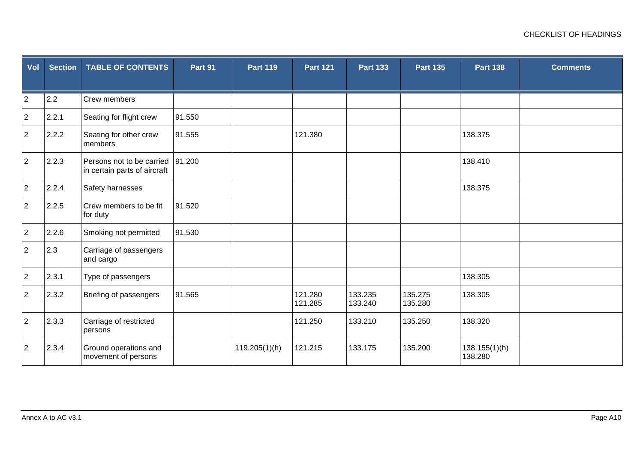| Vol            | <b>Section</b> | <b>TABLE OF CONTENTS</b>                                  | Part 91 | <b>Part 119</b> | <b>Part 121</b>    | <b>Part 133</b>    | <b>Part 135</b>    | <b>Part 138</b>          | <b>Comments</b> |
|----------------|----------------|-----------------------------------------------------------|---------|-----------------|--------------------|--------------------|--------------------|--------------------------|-----------------|
| $\overline{2}$ | 2.2            | Crew members                                              |         |                 |                    |                    |                    |                          |                 |
| $\overline{2}$ | 2.2.1          | Seating for flight crew                                   | 91.550  |                 |                    |                    |                    |                          |                 |
| $\overline{2}$ | 2.2.2          | Seating for other crew<br>members                         | 91.555  |                 | 121.380            |                    |                    | 138.375                  |                 |
| $\overline{2}$ | 2.2.3          | Persons not to be carried<br>in certain parts of aircraft | 91.200  |                 |                    |                    |                    | 138.410                  |                 |
| $\overline{2}$ | 2.2.4          | Safety harnesses                                          |         |                 |                    |                    |                    | 138.375                  |                 |
| $\overline{2}$ | 2.2.5          | Crew members to be fit<br>for duty                        | 91.520  |                 |                    |                    |                    |                          |                 |
| $\overline{2}$ | 2.2.6          | Smoking not permitted                                     | 91.530  |                 |                    |                    |                    |                          |                 |
| $\overline{2}$ | 2.3            | Carriage of passengers<br>and cargo                       |         |                 |                    |                    |                    |                          |                 |
| $\overline{2}$ | 2.3.1          | Type of passengers                                        |         |                 |                    |                    |                    | 138.305                  |                 |
| $\overline{2}$ | 2.3.2          | Briefing of passengers                                    | 91.565  |                 | 121.280<br>121.285 | 133.235<br>133.240 | 135.275<br>135.280 | 138.305                  |                 |
| $\overline{2}$ | 2.3.3          | Carriage of restricted<br>persons                         |         |                 | 121.250            | 133.210            | 135.250            | 138.320                  |                 |
| $\overline{2}$ | 2.3.4          | Ground operations and<br>movement of persons              |         | 119.205(1)(h)   | 121.215            | 133.175            | 135.200            | 138.155(1)(h)<br>138.280 |                 |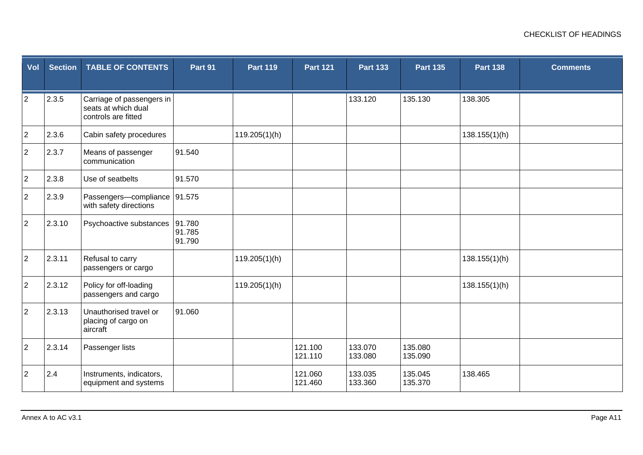| Vol            | <b>Section</b> | <b>TABLE OF CONTENTS</b>                                                | Part 91                    | <b>Part 119</b> | <b>Part 121</b>    | <b>Part 133</b>    | <b>Part 135</b>    | <b>Part 138</b> | <b>Comments</b> |
|----------------|----------------|-------------------------------------------------------------------------|----------------------------|-----------------|--------------------|--------------------|--------------------|-----------------|-----------------|
| $\overline{2}$ | 2.3.5          | Carriage of passengers in<br>seats at which dual<br>controls are fitted |                            |                 |                    | 133.120            | 135.130            | 138.305         |                 |
| $\overline{2}$ | 2.3.6          | Cabin safety procedures                                                 |                            | 119.205(1)(h)   |                    |                    |                    | 138.155(1)(h)   |                 |
| $\overline{2}$ | 2.3.7          | Means of passenger<br>communication                                     | 91.540                     |                 |                    |                    |                    |                 |                 |
| $\overline{2}$ | 2.3.8          | Use of seatbelts                                                        | 91.570                     |                 |                    |                    |                    |                 |                 |
| $\overline{2}$ | 2.3.9          | Passengers-compliance 91.575<br>with safety directions                  |                            |                 |                    |                    |                    |                 |                 |
| $\overline{2}$ | 2.3.10         | Psychoactive substances                                                 | 91.780<br>91.785<br>91.790 |                 |                    |                    |                    |                 |                 |
| $\overline{2}$ | 2.3.11         | Refusal to carry<br>passengers or cargo                                 |                            | 119.205(1)(h)   |                    |                    |                    | 138.155(1)(h)   |                 |
| $\overline{2}$ | 2.3.12         | Policy for off-loading<br>passengers and cargo                          |                            | 119.205(1)(h)   |                    |                    |                    | 138.155(1)(h)   |                 |
| $\overline{2}$ | 2.3.13         | Unauthorised travel or<br>placing of cargo on<br>aircraft               | 91.060                     |                 |                    |                    |                    |                 |                 |
| $\overline{2}$ | 2.3.14         | Passenger lists                                                         |                            |                 | 121.100<br>121.110 | 133.070<br>133.080 | 135.080<br>135.090 |                 |                 |
| $\overline{2}$ | 2.4            | Instruments, indicators,<br>equipment and systems                       |                            |                 | 121.060<br>121.460 | 133.035<br>133.360 | 135.045<br>135.370 | 138.465         |                 |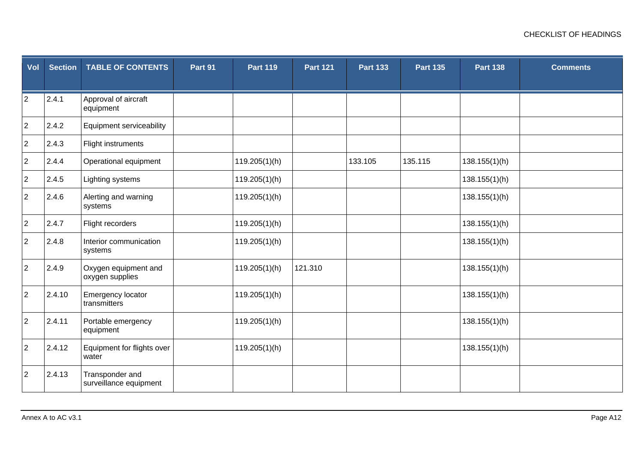| Vol            | <b>Section</b> | <b>TABLE OF CONTENTS</b>                  | Part 91 | <b>Part 119</b> | <b>Part 121</b> | <b>Part 133</b> | <b>Part 135</b> | <b>Part 138</b> | <b>Comments</b> |
|----------------|----------------|-------------------------------------------|---------|-----------------|-----------------|-----------------|-----------------|-----------------|-----------------|
| $\overline{2}$ | 2.4.1          | Approval of aircraft<br>equipment         |         |                 |                 |                 |                 |                 |                 |
| $\overline{2}$ | 2.4.2          | Equipment serviceability                  |         |                 |                 |                 |                 |                 |                 |
| $\overline{2}$ | 2.4.3          | Flight instruments                        |         |                 |                 |                 |                 |                 |                 |
| $\overline{2}$ | 2.4.4          | Operational equipment                     |         | 119.205(1)(h)   |                 | 133.105         | 135.115         | 138.155(1)(h)   |                 |
| $\overline{2}$ | 2.4.5          | Lighting systems                          |         | 119.205(1)(h)   |                 |                 |                 | 138.155(1)(h)   |                 |
| $\overline{2}$ | 2.4.6          | Alerting and warning<br>systems           |         | 119.205(1)(h)   |                 |                 |                 | 138.155(1)(h)   |                 |
| $\overline{2}$ | 2.4.7          | Flight recorders                          |         | 119.205(1)(h)   |                 |                 |                 | 138.155(1)(h)   |                 |
| $\overline{2}$ | 2.4.8          | Interior communication<br>systems         |         | 119.205(1)(h)   |                 |                 |                 | 138.155(1)(h)   |                 |
| $\overline{2}$ | 2.4.9          | Oxygen equipment and<br>oxygen supplies   |         | 119.205(1)(h)   | 121.310         |                 |                 | 138.155(1)(h)   |                 |
| $\overline{2}$ | 2.4.10         | Emergency locator<br>transmitters         |         | 119.205(1)(h)   |                 |                 |                 | 138.155(1)(h)   |                 |
| $\overline{c}$ | 2.4.11         | Portable emergency<br>equipment           |         | 119.205(1)(h)   |                 |                 |                 | 138.155(1)(h)   |                 |
| $\overline{2}$ | 2.4.12         | Equipment for flights over<br>water       |         | 119.205(1)(h)   |                 |                 |                 | 138.155(1)(h)   |                 |
| $\overline{2}$ | 2.4.13         | Transponder and<br>surveillance equipment |         |                 |                 |                 |                 |                 |                 |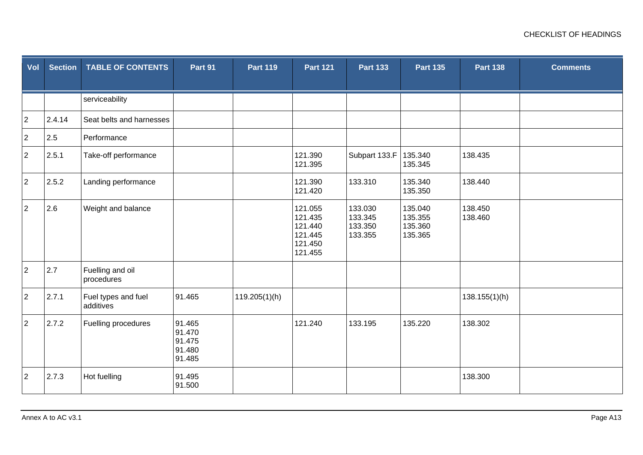| Vol            | <b>Section</b> | <b>TABLE OF CONTENTS</b>         | Part 91                                        | <b>Part 119</b> | <b>Part 121</b>                                                | <b>Part 133</b>                          | <b>Part 135</b>                          | <b>Part 138</b>    | <b>Comments</b> |
|----------------|----------------|----------------------------------|------------------------------------------------|-----------------|----------------------------------------------------------------|------------------------------------------|------------------------------------------|--------------------|-----------------|
|                |                | serviceability                   |                                                |                 |                                                                |                                          |                                          |                    |                 |
| $\overline{2}$ | 2.4.14         | Seat belts and harnesses         |                                                |                 |                                                                |                                          |                                          |                    |                 |
| $\overline{a}$ | 2.5            | Performance                      |                                                |                 |                                                                |                                          |                                          |                    |                 |
| $\overline{2}$ | 2.5.1          | Take-off performance             |                                                |                 | 121.390<br>121.395                                             | Subpart 133.F                            | 135.340<br>135.345                       | 138.435            |                 |
| $\overline{2}$ | 2.5.2          | Landing performance              |                                                |                 | 121.390<br>121.420                                             | 133.310                                  | 135.340<br>135.350                       | 138.440            |                 |
| $\overline{2}$ | 2.6            | Weight and balance               |                                                |                 | 121.055<br>121.435<br>121.440<br>121.445<br>121.450<br>121.455 | 133.030<br>133.345<br>133.350<br>133.355 | 135.040<br>135.355<br>135.360<br>135.365 | 138.450<br>138.460 |                 |
| $\overline{2}$ | 2.7            | Fuelling and oil<br>procedures   |                                                |                 |                                                                |                                          |                                          |                    |                 |
| $\overline{2}$ | 2.7.1          | Fuel types and fuel<br>additives | 91.465                                         | 119.205(1)(h)   |                                                                |                                          |                                          | 138.155(1)(h)      |                 |
| $\overline{2}$ | 2.7.2          | Fuelling procedures              | 91.465<br>91.470<br>91.475<br>91.480<br>91.485 |                 | 121.240                                                        | 133.195                                  | 135.220                                  | 138.302            |                 |
| $\overline{2}$ | 2.7.3          | Hot fuelling                     | 91.495<br>91.500                               |                 |                                                                |                                          |                                          | 138.300            |                 |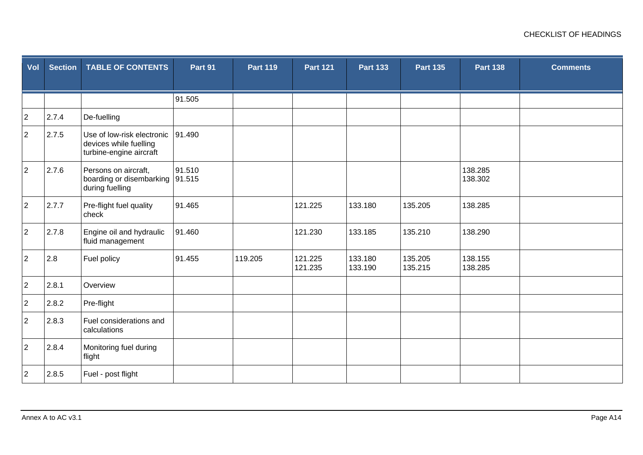| Vol            | <b>Section</b> | <b>TABLE OF CONTENTS</b>                                                        | Part 91 | <b>Part 119</b> | <b>Part 121</b>    | <b>Part 133</b>    | <b>Part 135</b>    | <b>Part 138</b>    | <b>Comments</b> |
|----------------|----------------|---------------------------------------------------------------------------------|---------|-----------------|--------------------|--------------------|--------------------|--------------------|-----------------|
|                |                |                                                                                 |         |                 |                    |                    |                    |                    |                 |
|                |                |                                                                                 | 91.505  |                 |                    |                    |                    |                    |                 |
| $\overline{c}$ | 2.7.4          | De-fuelling                                                                     |         |                 |                    |                    |                    |                    |                 |
| $\overline{2}$ | 2.7.5          | Use of low-risk electronic<br>devices while fuelling<br>turbine-engine aircraft | 91.490  |                 |                    |                    |                    |                    |                 |
| $\overline{2}$ | 2.7.6          | Persons on aircraft,<br>boarding or disembarking 91.515<br>during fuelling      | 91.510  |                 |                    |                    |                    | 138.285<br>138.302 |                 |
| $\overline{2}$ | 2.7.7          | Pre-flight fuel quality<br>check                                                | 91.465  |                 | 121.225            | 133.180            | 135.205            | 138.285            |                 |
| $\overline{2}$ | 2.7.8          | Engine oil and hydraulic<br>fluid management                                    | 91.460  |                 | 121.230            | 133.185            | 135.210            | 138.290            |                 |
| $\overline{2}$ | 2.8            | Fuel policy                                                                     | 91.455  | 119.205         | 121.225<br>121.235 | 133.180<br>133.190 | 135.205<br>135.215 | 138.155<br>138.285 |                 |
| $\overline{2}$ | 2.8.1          | Overview                                                                        |         |                 |                    |                    |                    |                    |                 |
| $\overline{2}$ | 2.8.2          | Pre-flight                                                                      |         |                 |                    |                    |                    |                    |                 |
| $\overline{2}$ | 2.8.3          | Fuel considerations and<br>calculations                                         |         |                 |                    |                    |                    |                    |                 |
| $\overline{2}$ | 2.8.4          | Monitoring fuel during<br>flight                                                |         |                 |                    |                    |                    |                    |                 |
| $\overline{2}$ | 2.8.5          | Fuel - post flight                                                              |         |                 |                    |                    |                    |                    |                 |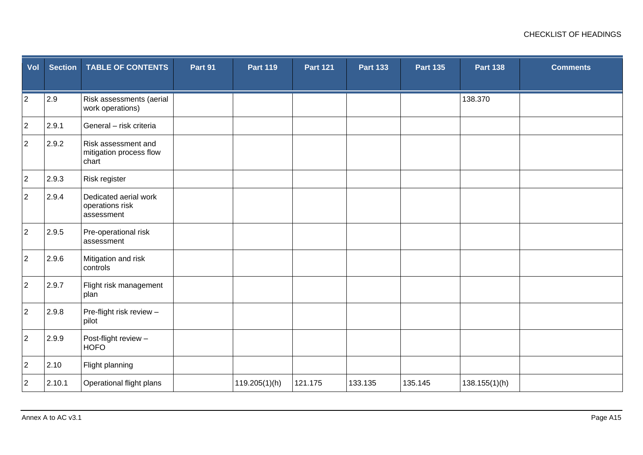| Vol            | <b>Section</b> | <b>TABLE OF CONTENTS</b>                                | Part 91 | <b>Part 119</b> | <b>Part 121</b> | <b>Part 133</b> | <b>Part 135</b> | <b>Part 138</b> | <b>Comments</b> |
|----------------|----------------|---------------------------------------------------------|---------|-----------------|-----------------|-----------------|-----------------|-----------------|-----------------|
| $\overline{2}$ | 2.9            | Risk assessments (aerial<br>work operations)            |         |                 |                 |                 |                 | 138.370         |                 |
| $\overline{a}$ | 2.9.1          | General - risk criteria                                 |         |                 |                 |                 |                 |                 |                 |
| $\overline{2}$ | 2.9.2          | Risk assessment and<br>mitigation process flow<br>chart |         |                 |                 |                 |                 |                 |                 |
| $\overline{2}$ | 2.9.3          | Risk register                                           |         |                 |                 |                 |                 |                 |                 |
| $\overline{2}$ | 2.9.4          | Dedicated aerial work<br>operations risk<br>assessment  |         |                 |                 |                 |                 |                 |                 |
| $\overline{a}$ | 2.9.5          | Pre-operational risk<br>assessment                      |         |                 |                 |                 |                 |                 |                 |
| $\overline{2}$ | 2.9.6          | Mitigation and risk<br>controls                         |         |                 |                 |                 |                 |                 |                 |
| $\overline{a}$ | 2.9.7          | Flight risk management<br>plan                          |         |                 |                 |                 |                 |                 |                 |
| $\overline{2}$ | 2.9.8          | Pre-flight risk review -<br>pilot                       |         |                 |                 |                 |                 |                 |                 |
| $\overline{2}$ | 2.9.9          | Post-flight review -<br><b>HOFO</b>                     |         |                 |                 |                 |                 |                 |                 |
| $\overline{2}$ | 2.10           | Flight planning                                         |         |                 |                 |                 |                 |                 |                 |
| $\overline{2}$ | 2.10.1         | Operational flight plans                                |         | 119.205(1)(h)   | 121.175         | 133.135         | 135.145         | 138.155(1)(h)   |                 |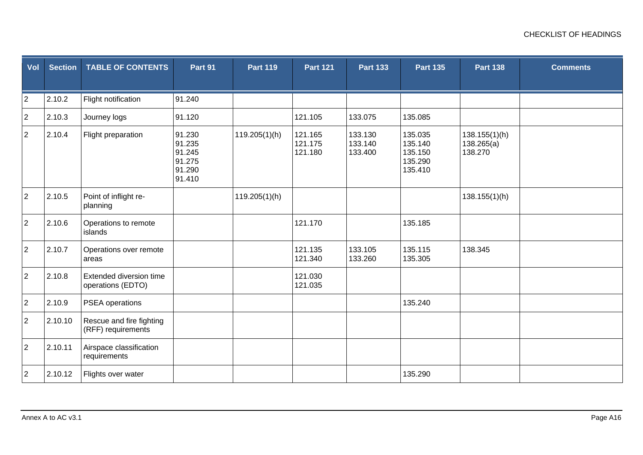| Vol            | <b>Section</b> | <b>TABLE OF CONTENTS</b>                       | Part 91                                                  | <b>Part 119</b> | <b>Part 121</b>               | <b>Part 133</b>               | <b>Part 135</b>                                     | <b>Part 138</b>                        | <b>Comments</b> |
|----------------|----------------|------------------------------------------------|----------------------------------------------------------|-----------------|-------------------------------|-------------------------------|-----------------------------------------------------|----------------------------------------|-----------------|
|                |                |                                                |                                                          |                 |                               |                               |                                                     |                                        |                 |
| $\overline{c}$ | 2.10.2         | Flight notification                            | 91.240                                                   |                 |                               |                               |                                                     |                                        |                 |
| $\overline{2}$ | 2.10.3         | Journey logs                                   | 91.120                                                   |                 | 121.105                       | 133.075                       | 135.085                                             |                                        |                 |
| $\overline{2}$ | 2.10.4         | Flight preparation                             | 91.230<br>91.235<br>91.245<br>91.275<br>91.290<br>91.410 | 119.205(1)(h)   | 121.165<br>121.175<br>121.180 | 133.130<br>133.140<br>133.400 | 135.035<br>135.140<br>135.150<br>135.290<br>135.410 | 138.155(1)(h)<br>138.265(a)<br>138.270 |                 |
| $\overline{2}$ | 2.10.5         | Point of inflight re-<br>planning              |                                                          | 119.205(1)(h)   |                               |                               |                                                     | 138.155(1)(h)                          |                 |
| $\overline{2}$ | 2.10.6         | Operations to remote<br>islands                |                                                          |                 | 121.170                       |                               | 135.185                                             |                                        |                 |
| $\overline{2}$ | 2.10.7         | Operations over remote<br>areas                |                                                          |                 | 121.135<br>121.340            | 133.105<br>133.260            | 135.115<br>135.305                                  | 138.345                                |                 |
| $\overline{2}$ | 2.10.8         | Extended diversion time<br>operations (EDTO)   |                                                          |                 | 121.030<br>121.035            |                               |                                                     |                                        |                 |
| $\overline{2}$ | 2.10.9         | PSEA operations                                |                                                          |                 |                               |                               | 135.240                                             |                                        |                 |
| $\overline{2}$ | 2.10.10        | Rescue and fire fighting<br>(RFF) requirements |                                                          |                 |                               |                               |                                                     |                                        |                 |
| $\overline{2}$ | 2.10.11        | Airspace classification<br>requirements        |                                                          |                 |                               |                               |                                                     |                                        |                 |
| $\overline{2}$ | 2.10.12        | Flights over water                             |                                                          |                 |                               |                               | 135.290                                             |                                        |                 |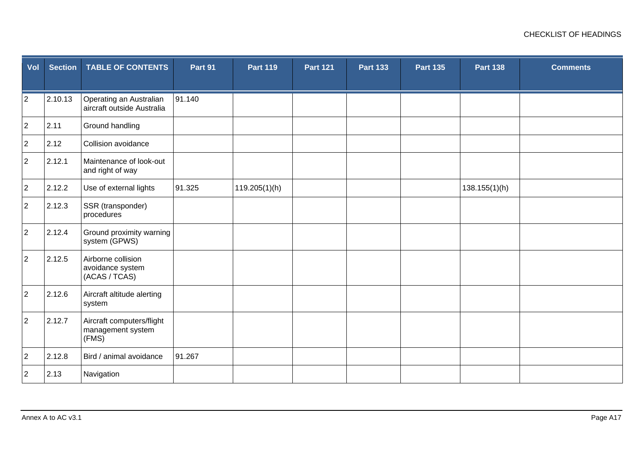| Vol            | <b>Section</b> | <b>TABLE OF CONTENTS</b>                                | Part 91 | <b>Part 119</b> | <b>Part 121</b> | <b>Part 133</b> | <b>Part 135</b> | <b>Part 138</b> | <b>Comments</b> |
|----------------|----------------|---------------------------------------------------------|---------|-----------------|-----------------|-----------------|-----------------|-----------------|-----------------|
| $\overline{c}$ | 2.10.13        | Operating an Australian<br>aircraft outside Australia   | 91.140  |                 |                 |                 |                 |                 |                 |
| $\overline{2}$ | 2.11           | Ground handling                                         |         |                 |                 |                 |                 |                 |                 |
| $\overline{2}$ | 2.12           | Collision avoidance                                     |         |                 |                 |                 |                 |                 |                 |
| $\overline{2}$ | 2.12.1         | Maintenance of look-out<br>and right of way             |         |                 |                 |                 |                 |                 |                 |
| $\overline{2}$ | 2.12.2         | Use of external lights                                  | 91.325  | 119.205(1)(h)   |                 |                 |                 | 138.155(1)(h)   |                 |
| $\overline{a}$ | 2.12.3         | SSR (transponder)<br>procedures                         |         |                 |                 |                 |                 |                 |                 |
| $\overline{2}$ | 2.12.4         | Ground proximity warning<br>system (GPWS)               |         |                 |                 |                 |                 |                 |                 |
| $\overline{2}$ | 2.12.5         | Airborne collision<br>avoidance system<br>(ACAS / TCAS) |         |                 |                 |                 |                 |                 |                 |
| $\overline{2}$ | 2.12.6         | Aircraft altitude alerting<br>system                    |         |                 |                 |                 |                 |                 |                 |
| $\overline{a}$ | 2.12.7         | Aircraft computers/flight<br>management system<br>(FMS) |         |                 |                 |                 |                 |                 |                 |
| $\overline{2}$ | 2.12.8         | Bird / animal avoidance                                 | 91.267  |                 |                 |                 |                 |                 |                 |
| $\overline{2}$ | 2.13           | Navigation                                              |         |                 |                 |                 |                 |                 |                 |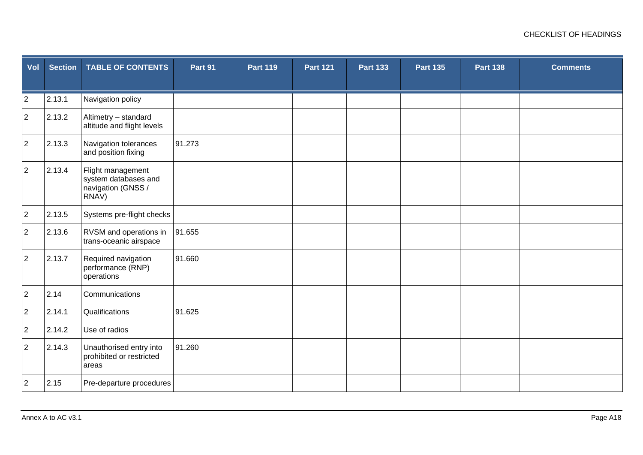| Vol            | <b>Section</b> | <b>TABLE OF CONTENTS</b>                                                 | Part 91 | <b>Part 119</b> | <b>Part 121</b> | <b>Part 133</b> | <b>Part 135</b> | <b>Part 138</b> | <b>Comments</b> |
|----------------|----------------|--------------------------------------------------------------------------|---------|-----------------|-----------------|-----------------|-----------------|-----------------|-----------------|
| $\overline{2}$ | 2.13.1         | Navigation policy                                                        |         |                 |                 |                 |                 |                 |                 |
| $\overline{c}$ | 2.13.2         | Altimetry - standard<br>altitude and flight levels                       |         |                 |                 |                 |                 |                 |                 |
| $\overline{2}$ | 2.13.3         | Navigation tolerances<br>and position fixing                             | 91.273  |                 |                 |                 |                 |                 |                 |
| $\overline{2}$ | 2.13.4         | Flight management<br>system databases and<br>navigation (GNSS /<br>RNAV) |         |                 |                 |                 |                 |                 |                 |
| $\overline{c}$ | 2.13.5         | Systems pre-flight checks                                                |         |                 |                 |                 |                 |                 |                 |
| $\overline{2}$ | 2.13.6         | RVSM and operations in<br>trans-oceanic airspace                         | 91.655  |                 |                 |                 |                 |                 |                 |
| $\overline{2}$ | 2.13.7         | Required navigation<br>performance (RNP)<br>operations                   | 91.660  |                 |                 |                 |                 |                 |                 |
| $\overline{2}$ | 2.14           | Communications                                                           |         |                 |                 |                 |                 |                 |                 |
| $\overline{a}$ | 2.14.1         | Qualifications                                                           | 91.625  |                 |                 |                 |                 |                 |                 |
| $\overline{a}$ | 2.14.2         | Use of radios                                                            |         |                 |                 |                 |                 |                 |                 |
| $\overline{2}$ | 2.14.3         | Unauthorised entry into<br>prohibited or restricted<br>areas             | 91.260  |                 |                 |                 |                 |                 |                 |
| $\overline{2}$ | 2.15           | Pre-departure procedures                                                 |         |                 |                 |                 |                 |                 |                 |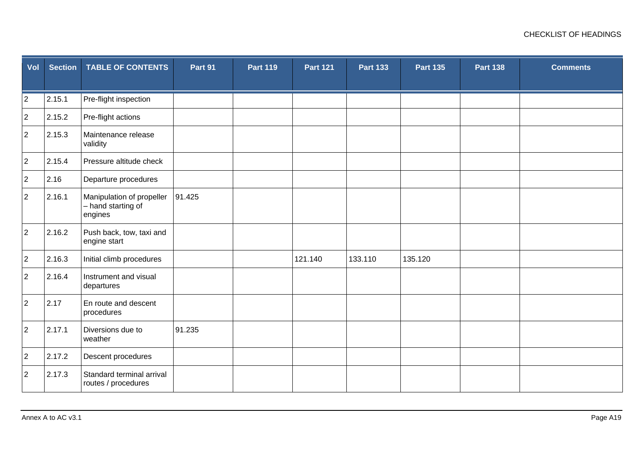| Vol            | <b>Section</b> | <b>TABLE OF CONTENTS</b>                                   | Part 91 | <b>Part 119</b> | <b>Part 121</b> | <b>Part 133</b> | <b>Part 135</b> | <b>Part 138</b> | <b>Comments</b> |
|----------------|----------------|------------------------------------------------------------|---------|-----------------|-----------------|-----------------|-----------------|-----------------|-----------------|
| $\overline{2}$ | 2.15.1         | Pre-flight inspection                                      |         |                 |                 |                 |                 |                 |                 |
| $\overline{2}$ | 2.15.2         | Pre-flight actions                                         |         |                 |                 |                 |                 |                 |                 |
| $\overline{2}$ | 2.15.3         | Maintenance release<br>validity                            |         |                 |                 |                 |                 |                 |                 |
| $\overline{2}$ | 2.15.4         | Pressure altitude check                                    |         |                 |                 |                 |                 |                 |                 |
| $\overline{2}$ | 2.16           | Departure procedures                                       |         |                 |                 |                 |                 |                 |                 |
| $\overline{2}$ | 2.16.1         | Manipulation of propeller<br>- hand starting of<br>engines | 91.425  |                 |                 |                 |                 |                 |                 |
| $\overline{2}$ | 2.16.2         | Push back, tow, taxi and<br>engine start                   |         |                 |                 |                 |                 |                 |                 |
| $\overline{2}$ | 2.16.3         | Initial climb procedures                                   |         |                 | 121.140         | 133.110         | 135.120         |                 |                 |
| $\overline{a}$ | 2.16.4         | Instrument and visual<br>departures                        |         |                 |                 |                 |                 |                 |                 |
| $\overline{a}$ | 2.17           | En route and descent<br>procedures                         |         |                 |                 |                 |                 |                 |                 |
| $\overline{2}$ | 2.17.1         | Diversions due to<br>weather                               | 91.235  |                 |                 |                 |                 |                 |                 |
| $\overline{a}$ | 2.17.2         | Descent procedures                                         |         |                 |                 |                 |                 |                 |                 |
| $\overline{2}$ | 2.17.3         | Standard terminal arrival<br>routes / procedures           |         |                 |                 |                 |                 |                 |                 |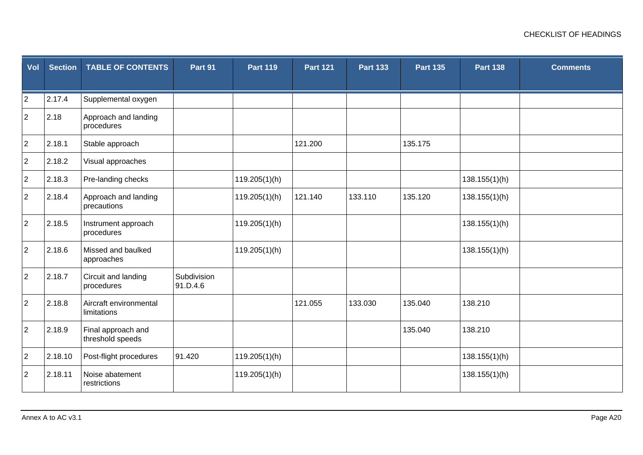| Vol            | <b>Section</b> | <b>TABLE OF CONTENTS</b>               | Part 91                 | <b>Part 119</b> | <b>Part 121</b> | <b>Part 133</b> | <b>Part 135</b> | <b>Part 138</b> | <b>Comments</b> |
|----------------|----------------|----------------------------------------|-------------------------|-----------------|-----------------|-----------------|-----------------|-----------------|-----------------|
| $\overline{2}$ | 2.17.4         | Supplemental oxygen                    |                         |                 |                 |                 |                 |                 |                 |
| $\overline{2}$ | 2.18           | Approach and landing<br>procedures     |                         |                 |                 |                 |                 |                 |                 |
| $\overline{2}$ | 2.18.1         | Stable approach                        |                         |                 | 121.200         |                 | 135.175         |                 |                 |
| $\overline{2}$ | 2.18.2         | Visual approaches                      |                         |                 |                 |                 |                 |                 |                 |
| $\overline{2}$ | 2.18.3         | Pre-landing checks                     |                         | 119.205(1)(h)   |                 |                 |                 | 138.155(1)(h)   |                 |
| $\overline{2}$ | 2.18.4         | Approach and landing<br>precautions    |                         | 119.205(1)(h)   | 121.140         | 133.110         | 135.120         | 138.155(1)(h)   |                 |
| $\overline{2}$ | 2.18.5         | Instrument approach<br>procedures      |                         | 119.205(1)(h)   |                 |                 |                 | 138.155(1)(h)   |                 |
| $\overline{a}$ | 2.18.6         | Missed and baulked<br>approaches       |                         | 119.205(1)(h)   |                 |                 |                 | 138.155(1)(h)   |                 |
| $\overline{2}$ | 2.18.7         | Circuit and landing<br>procedures      | Subdivision<br>91.D.4.6 |                 |                 |                 |                 |                 |                 |
| $\overline{2}$ | 2.18.8         | Aircraft environmental<br>limitations  |                         |                 | 121.055         | 133.030         | 135.040         | 138.210         |                 |
| $\overline{2}$ | 2.18.9         | Final approach and<br>threshold speeds |                         |                 |                 |                 | 135.040         | 138.210         |                 |
| $\overline{2}$ | 2.18.10        | Post-flight procedures                 | 91.420                  | 119.205(1)(h)   |                 |                 |                 | 138.155(1)(h)   |                 |
| $\overline{c}$ | 2.18.11        | Noise abatement<br>restrictions        |                         | 119.205(1)(h)   |                 |                 |                 | 138.155(1)(h)   |                 |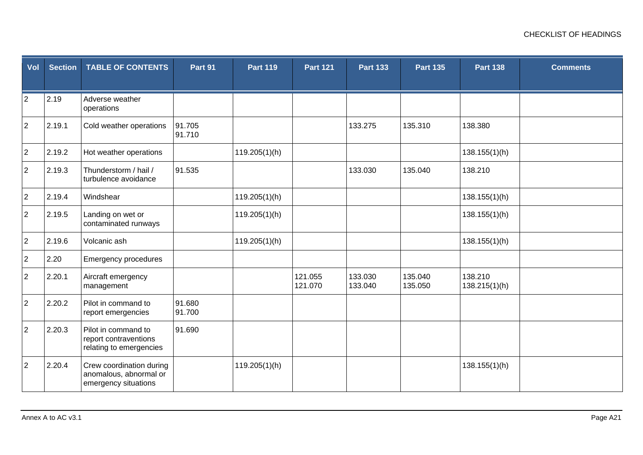| Vol            | <b>Section</b> | <b>TABLE OF CONTENTS</b>                                                   | Part 91          | <b>Part 119</b> | <b>Part 121</b>    | <b>Part 133</b>    | <b>Part 135</b>    | <b>Part 138</b>          | <b>Comments</b> |
|----------------|----------------|----------------------------------------------------------------------------|------------------|-----------------|--------------------|--------------------|--------------------|--------------------------|-----------------|
| $\overline{2}$ | 2.19           | Adverse weather<br>operations                                              |                  |                 |                    |                    |                    |                          |                 |
| $\overline{2}$ | 2.19.1         | Cold weather operations                                                    | 91.705<br>91.710 |                 |                    | 133.275            | 135.310            | 138.380                  |                 |
| $\overline{2}$ | 2.19.2         | Hot weather operations                                                     |                  | 119.205(1)(h)   |                    |                    |                    | 138.155(1)(h)            |                 |
| $\overline{2}$ | 2.19.3         | Thunderstorm / hail /<br>turbulence avoidance                              | 91.535           |                 |                    | 133.030            | 135.040            | 138.210                  |                 |
| $\overline{2}$ | 2.19.4         | Windshear                                                                  |                  | 119.205(1)(h)   |                    |                    |                    | 138.155(1)(h)            |                 |
| $\overline{2}$ | 2.19.5         | Landing on wet or<br>contaminated runways                                  |                  | 119.205(1)(h)   |                    |                    |                    | 138.155(1)(h)            |                 |
| $\overline{2}$ | 2.19.6         | Volcanic ash                                                               |                  | 119.205(1)(h)   |                    |                    |                    | 138.155(1)(h)            |                 |
| $\overline{c}$ | 2.20           | <b>Emergency procedures</b>                                                |                  |                 |                    |                    |                    |                          |                 |
| $\overline{2}$ | 2.20.1         | Aircraft emergency<br>management                                           |                  |                 | 121.055<br>121.070 | 133.030<br>133.040 | 135.040<br>135.050 | 138.210<br>138.215(1)(h) |                 |
| $\overline{2}$ | 2.20.2         | Pilot in command to<br>report emergencies                                  | 91.680<br>91.700 |                 |                    |                    |                    |                          |                 |
| $\overline{2}$ | 2.20.3         | Pilot in command to<br>report contraventions<br>relating to emergencies    | 91.690           |                 |                    |                    |                    |                          |                 |
| $\overline{2}$ | 2.20.4         | Crew coordination during<br>anomalous, abnormal or<br>emergency situations |                  | 119.205(1)(h)   |                    |                    |                    | 138.155(1)(h)            |                 |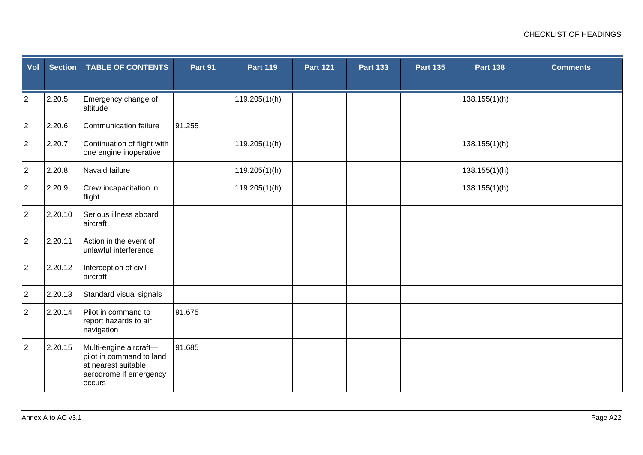| Vol            | <b>Section</b> | <b>TABLE OF CONTENTS</b>                                                                                      | Part 91 | <b>Part 119</b> | <b>Part 121</b> | <b>Part 133</b> | <b>Part 135</b> | <b>Part 138</b> | <b>Comments</b> |
|----------------|----------------|---------------------------------------------------------------------------------------------------------------|---------|-----------------|-----------------|-----------------|-----------------|-----------------|-----------------|
| $\overline{2}$ | 2.20.5         | Emergency change of<br>altitude                                                                               |         | 119.205(1)(h)   |                 |                 |                 | 138.155(1)(h)   |                 |
| $\overline{2}$ | 2.20.6         | <b>Communication failure</b>                                                                                  | 91.255  |                 |                 |                 |                 |                 |                 |
| $\overline{2}$ | 2.20.7         | Continuation of flight with<br>one engine inoperative                                                         |         | 119.205(1)(h)   |                 |                 |                 | 138.155(1)(h)   |                 |
| $\overline{2}$ | 2.20.8         | Navaid failure                                                                                                |         | 119.205(1)(h)   |                 |                 |                 | 138.155(1)(h)   |                 |
| $\overline{2}$ | 2.20.9         | Crew incapacitation in<br>flight                                                                              |         | 119.205(1)(h)   |                 |                 |                 | 138.155(1)(h)   |                 |
| $\overline{2}$ | 2.20.10        | Serious illness aboard<br>aircraft                                                                            |         |                 |                 |                 |                 |                 |                 |
| $\overline{2}$ | 2.20.11        | Action in the event of<br>unlawful interference                                                               |         |                 |                 |                 |                 |                 |                 |
| $\overline{2}$ | 2.20.12        | Interception of civil<br>aircraft                                                                             |         |                 |                 |                 |                 |                 |                 |
| $\overline{2}$ | 2.20.13        | Standard visual signals                                                                                       |         |                 |                 |                 |                 |                 |                 |
| $\overline{a}$ | 2.20.14        | Pilot in command to<br>report hazards to air<br>navigation                                                    | 91.675  |                 |                 |                 |                 |                 |                 |
| $\overline{2}$ | 2.20.15        | Multi-engine aircraft-<br>pilot in command to land<br>at nearest suitable<br>aerodrome if emergency<br>occurs | 91.685  |                 |                 |                 |                 |                 |                 |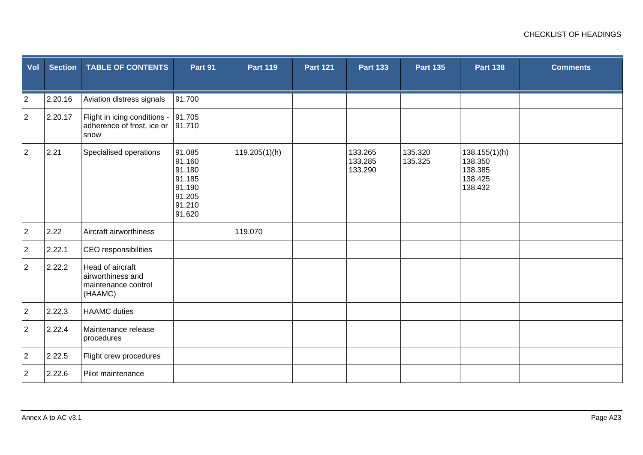| Vol            | <b>Section</b> | <b>TABLE OF CONTENTS</b>                                                | Part 91                                                                      | <b>Part 119</b> | <b>Part 121</b> | <b>Part 133</b>               | <b>Part 135</b>    | <b>Part 138</b>                                           | <b>Comments</b> |
|----------------|----------------|-------------------------------------------------------------------------|------------------------------------------------------------------------------|-----------------|-----------------|-------------------------------|--------------------|-----------------------------------------------------------|-----------------|
| $\overline{c}$ | 2.20.16        | Aviation distress signals                                               | 91.700                                                                       |                 |                 |                               |                    |                                                           |                 |
| $\overline{2}$ | 2.20.17        | Flight in icing conditions -<br>adherence of frost, ice or<br>snow      | 91.705<br>91.710                                                             |                 |                 |                               |                    |                                                           |                 |
| $\overline{2}$ | 2.21           | Specialised operations                                                  | 91.085<br>91.160<br>91.180<br>91.185<br>91.190<br>91.205<br>91.210<br>91.620 | 119.205(1)(h)   |                 | 133.265<br>133.285<br>133.290 | 135.320<br>135.325 | 138.155(1)(h)<br>138.350<br>138.385<br>138.425<br>138.432 |                 |
| $\overline{2}$ | 2.22           | Aircraft airworthiness                                                  |                                                                              | 119.070         |                 |                               |                    |                                                           |                 |
| $\overline{2}$ | 2.22.1         | CEO responsibilities                                                    |                                                                              |                 |                 |                               |                    |                                                           |                 |
| $\overline{2}$ | 2.22.2         | Head of aircraft<br>airworthiness and<br>maintenance control<br>(HAAMC) |                                                                              |                 |                 |                               |                    |                                                           |                 |
| $\overline{2}$ | 2.22.3         | <b>HAAMC</b> duties                                                     |                                                                              |                 |                 |                               |                    |                                                           |                 |
| $\overline{a}$ | 2.22.4         | Maintenance release<br>procedures                                       |                                                                              |                 |                 |                               |                    |                                                           |                 |
| $\overline{2}$ | 2.22.5         | Flight crew procedures                                                  |                                                                              |                 |                 |                               |                    |                                                           |                 |
| $\overline{2}$ | 2.22.6         | Pilot maintenance                                                       |                                                                              |                 |                 |                               |                    |                                                           |                 |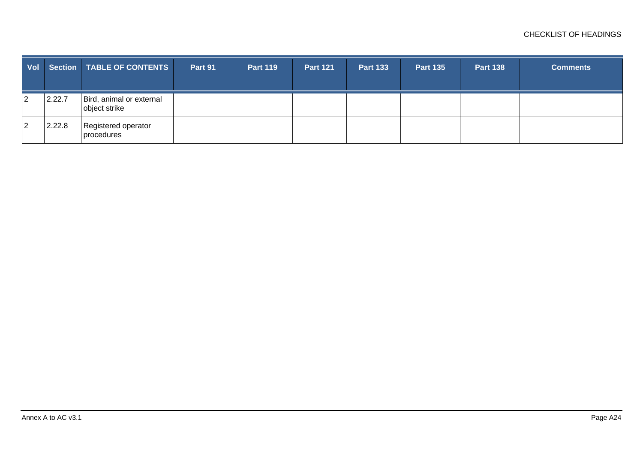| Vol |        | <b>Section   TABLE OF CONTENTS</b>        | Part 91 | <b>Part 119</b> | <b>Part 121</b> | <b>Part 133</b> | <b>Part 135</b> | <b>Part 138</b> | <b>Comments</b> |
|-----|--------|-------------------------------------------|---------|-----------------|-----------------|-----------------|-----------------|-----------------|-----------------|
|     | 2.22.7 | Bird, animal or external<br>object strike |         |                 |                 |                 |                 |                 |                 |
|     | 2.22.8 | Registered operator<br>procedures         |         |                 |                 |                 |                 |                 |                 |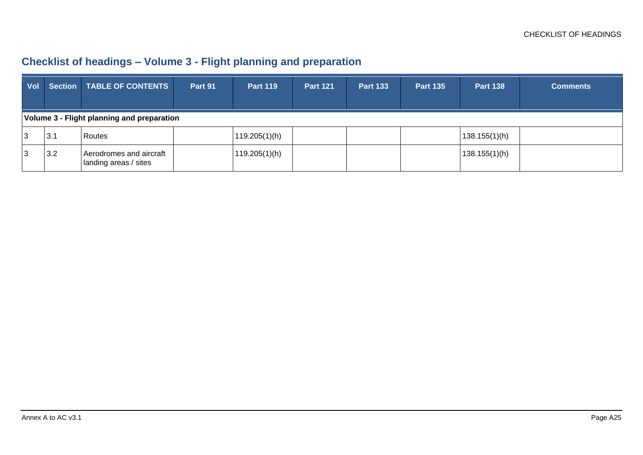## **Checklist of headings – Volume 3 - Flight planning and preparation**

| <b>Vol</b> |                                            | Section   TABLE OF CONTENTS                      | Part 91 | <b>Part 119</b> | <b>Part 121</b> | <b>Part 133</b> | <b>Part 135</b> | <b>Part 138</b> | <b>Comments</b> |  |  |  |
|------------|--------------------------------------------|--------------------------------------------------|---------|-----------------|-----------------|-----------------|-----------------|-----------------|-----------------|--|--|--|
|            | Volume 3 - Flight planning and preparation |                                                  |         |                 |                 |                 |                 |                 |                 |  |  |  |
| 3          | 3.1                                        | Routes                                           |         | 119.205(1)(h)   |                 |                 |                 | 138.155(1)(h)   |                 |  |  |  |
| 3          | 3.2                                        | Aerodromes and aircraft<br>landing areas / sites |         | 119.205(1)(h)   |                 |                 |                 | 138.155(1)(h)   |                 |  |  |  |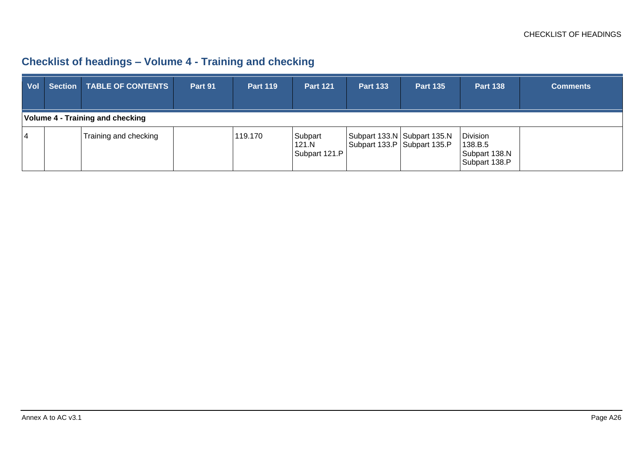## **Checklist of headings – Volume 4 - Training and checking**

| Vol |                                  | <b>Section   TABLE OF CONTENTS</b> | Part 91 | <b>Part 119</b> | <b>Part 121</b>                   | <b>Part 133</b> | <b>Part 135</b>                                              | <b>Part 138</b>                                       | <b>Comments</b> |  |  |
|-----|----------------------------------|------------------------------------|---------|-----------------|-----------------------------------|-----------------|--------------------------------------------------------------|-------------------------------------------------------|-----------------|--|--|
|     | Volume 4 - Training and checking |                                    |         |                 |                                   |                 |                                                              |                                                       |                 |  |  |
| 4   |                                  | Training and checking              |         | 119.170         | Subpart<br>121.N<br>Subpart 121.P |                 | Subpart 133.N Subpart 135.N<br>Subpart 133.P   Subpart 135.P | Division<br>138.B.5<br>Subpart 138.N<br>Subpart 138.P |                 |  |  |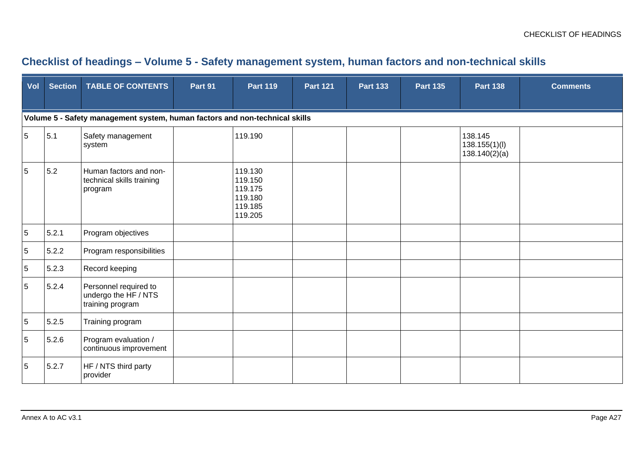#### **Checklist of headings – Volume 5 - Safety management system, human factors and non-technical skills**

| Vol             | <b>Section</b>                                                              | <b>TABLE OF CONTENTS</b>                                          | Part 91 | <b>Part 119</b>                                                | <b>Part 121</b> | <b>Part 133</b> | <b>Part 135</b> | <b>Part 138</b>                           | <b>Comments</b> |  |  |  |
|-----------------|-----------------------------------------------------------------------------|-------------------------------------------------------------------|---------|----------------------------------------------------------------|-----------------|-----------------|-----------------|-------------------------------------------|-----------------|--|--|--|
|                 | Volume 5 - Safety management system, human factors and non-technical skills |                                                                   |         |                                                                |                 |                 |                 |                                           |                 |  |  |  |
| $5\overline{)}$ | 5.1                                                                         | Safety management<br>system                                       |         | 119.190                                                        |                 |                 |                 | 138.145<br>138.155(1)(I)<br>138.140(2)(a) |                 |  |  |  |
| 5               | 5.2                                                                         | Human factors and non-<br>technical skills training<br>program    |         | 119.130<br>119.150<br>119.175<br>119.180<br>119.185<br>119.205 |                 |                 |                 |                                           |                 |  |  |  |
| $\sqrt{5}$      | 5.2.1                                                                       | Program objectives                                                |         |                                                                |                 |                 |                 |                                           |                 |  |  |  |
| $\sqrt{5}$      | 5.2.2                                                                       | Program responsibilities                                          |         |                                                                |                 |                 |                 |                                           |                 |  |  |  |
| $\sqrt{5}$      | 5.2.3                                                                       | Record keeping                                                    |         |                                                                |                 |                 |                 |                                           |                 |  |  |  |
| $\overline{5}$  | 5.2.4                                                                       | Personnel required to<br>undergo the HF / NTS<br>training program |         |                                                                |                 |                 |                 |                                           |                 |  |  |  |
| $5\phantom{.0}$ | 5.2.5                                                                       | Training program                                                  |         |                                                                |                 |                 |                 |                                           |                 |  |  |  |
| $\sqrt{5}$      | 5.2.6                                                                       | Program evaluation /<br>continuous improvement                    |         |                                                                |                 |                 |                 |                                           |                 |  |  |  |
| $\sqrt{5}$      | 5.2.7                                                                       | HF / NTS third party<br>provider                                  |         |                                                                |                 |                 |                 |                                           |                 |  |  |  |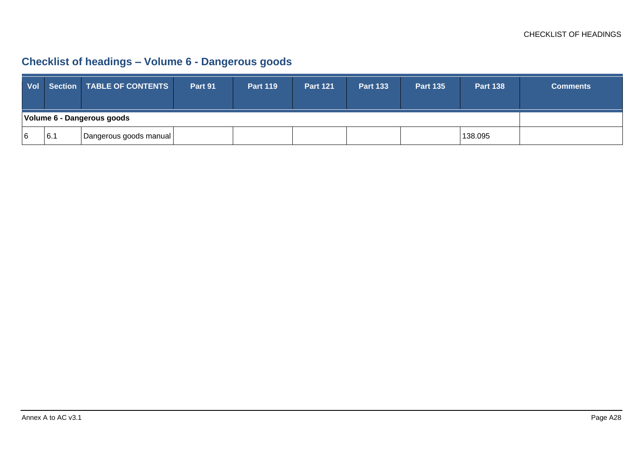## **Checklist of headings – Volume 6 - Dangerous goods**

|                            |     | Vol Section TABLE OF CONTENTS | Part 91 | <b>Part 119</b> | <b>Part 121</b> | <b>Part 133</b> | <b>Part 135</b> | <b>Part 138</b> | <b>Comments</b> |
|----------------------------|-----|-------------------------------|---------|-----------------|-----------------|-----------------|-----------------|-----------------|-----------------|
| Volume 6 - Dangerous goods |     |                               |         |                 |                 |                 |                 |                 |                 |
| 6                          | 6.1 | Dangerous goods manual        |         |                 |                 |                 |                 | 138.095         |                 |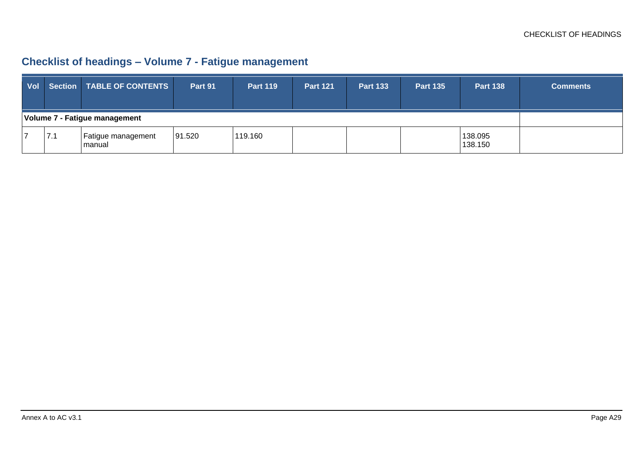## **Checklist of headings – Volume 7 - Fatigue management**

| <b>Vol</b>                    |     | Section   TABLE OF CONTENTS  | Part 91 | <b>Part 119</b> | <b>Part 121</b> | <b>Part 133</b> | <b>Part 135</b> | <b>Part 138</b>    | <b>Comments</b> |
|-------------------------------|-----|------------------------------|---------|-----------------|-----------------|-----------------|-----------------|--------------------|-----------------|
| Volume 7 - Fatigue management |     |                              |         |                 |                 |                 |                 |                    |                 |
|                               | 7.1 | Fatigue management<br>manual | 91.520  | 119.160         |                 |                 |                 | 138.095<br>138.150 |                 |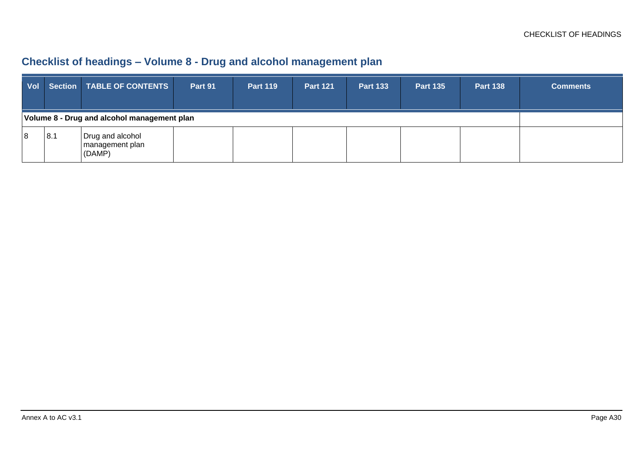### **Checklist of headings – Volume 8 - Drug and alcohol management plan**

| <b>Vol</b>                                  |     | <b>Section   TABLE OF CONTENTS  </b>          | Part 91 | <b>Part 119</b> | <b>Part 121</b> | <b>Part 133</b> | <b>Part 135</b> | <b>Part 138</b> | <b>Comments</b> |
|---------------------------------------------|-----|-----------------------------------------------|---------|-----------------|-----------------|-----------------|-----------------|-----------------|-----------------|
| Volume 8 - Drug and alcohol management plan |     |                                               |         |                 |                 |                 |                 |                 |                 |
| 18                                          | 8.1 | Drug and alcohol<br>management plan<br>(DAMP) |         |                 |                 |                 |                 |                 |                 |